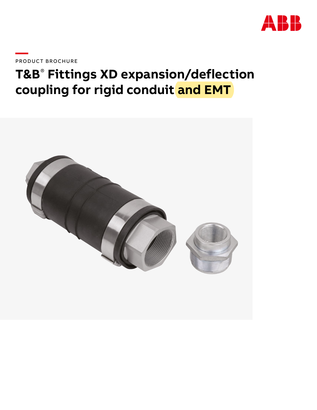

PRODUCT BROCHURE

# T&B<sup>®</sup> Fittings XD expansion/deflection coupling for rigid conduit and EMT

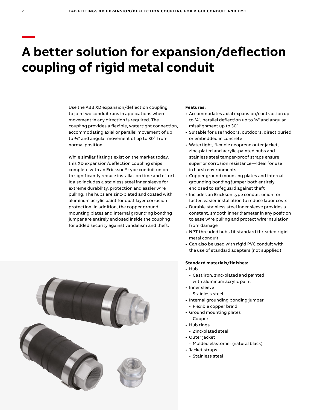# **A better solution for expansion/deflection coupling of rigid metal conduit**

Use the ABB XD expansion/deflection coupling to join two conduit runs in applications where movement in any direction is required. The coupling provides a flexible, watertight connection, accommodating axial or parallel movement of up to ¾" and angular movement of up to 30˚ from normal position.

While similar fittings exist on the market today, this XD expansion/deflection coupling ships complete with an Erickson® type conduit union to significantly reduce installation time and effort. It also includes a stainless steel inner sleeve for extreme durability, protection and easier wire pulling. The hubs are zinc-plated and coated with aluminum acrylic paint for dual-layer corrosion protection. In addition, the copper ground mounting plates and internal grounding bonding jumper are entirely enclosed inside the coupling for added security against vandalism and theft.



#### **Features:**

- Accommodates axial expansion/contraction up to ¾", parallel deflection up to ¾" and angular misalignment up to 30˚
- Suitable for use indoors, outdoors, direct buried or embedded in concrete
- Watertight, flexible neoprene outer jacket, zinc-plated and acrylic-painted hubs and stainless steel tamper-proof straps ensure superior corrosion resistance—ideal for use in harsh environments
- Copper ground mounting plates and internal grounding bonding jumper both entirely enclosed to safeguard against theft
- Includes an Erickson type conduit union for faster, easier installation to reduce labor costs
- Durable stainless steel inner sleeve provides a constant, smooth inner diameter in any position to ease wire pulling and protect wire insulation from damage
- NPT threaded hubs fit standard threaded rigid metal conduit
- Can also be used with rigid PVC conduit with the use of standard adapters (not supplied)

### **Standard materials/finishes:**

- Hub
	- Cast iron, zinc-plated and painted with aluminum acrylic paint
- Inner sleeve
- Stainless steel
- Internal grounding bonding jumper
	- Flexible copper braid
- Ground mounting plates
	- Copper
- Hub rings
- Zinc-plated steel
- Outer jacket
- Molded elastomer (natural black)
- Jacket straps
- Stainless steel

**—**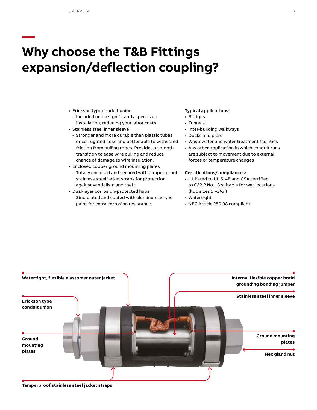**—**

## **Why choose the T&B Fittings expansion/deflection coupling?**

- Erickson type conduit union
- Included union significantly speeds up installation, reducing your labor costs.
- Stainless steel inner sleeve
- Stronger and more durable than plastic tubes or corrugated hose and better able to withstand friction from pulling ropes. Provides a smooth transition to ease wire pulling and reduce chance of damage to wire insulation.
- Enclosed copper ground mounting plates
	- Totally enclosed and secured with tamper-proof stainless steel jacket straps for protection against vandalism and theft.
- Dual-layer corrosion-protected hubs
	- Zinc-plated and coated with aluminum acrylic paint for extra corrosion resistance.

#### **Typical applications:**

- Bridges
- Tunnels
- Inter-building walkways
- Docks and piers
- Wastewater and water treatment facilities
- Any other application in which conduit runs are subject to movement due to external forces or temperature changes

#### **Certifications/compliances:**

- UL listed to UL 514B and CSA certified to C22.2 No. 18 suitable for wet locations (hub sizes 1"–2½")
- Watertight
- NEC Article 250.98 compliant



**Tamperproof stainless steel jacket straps**